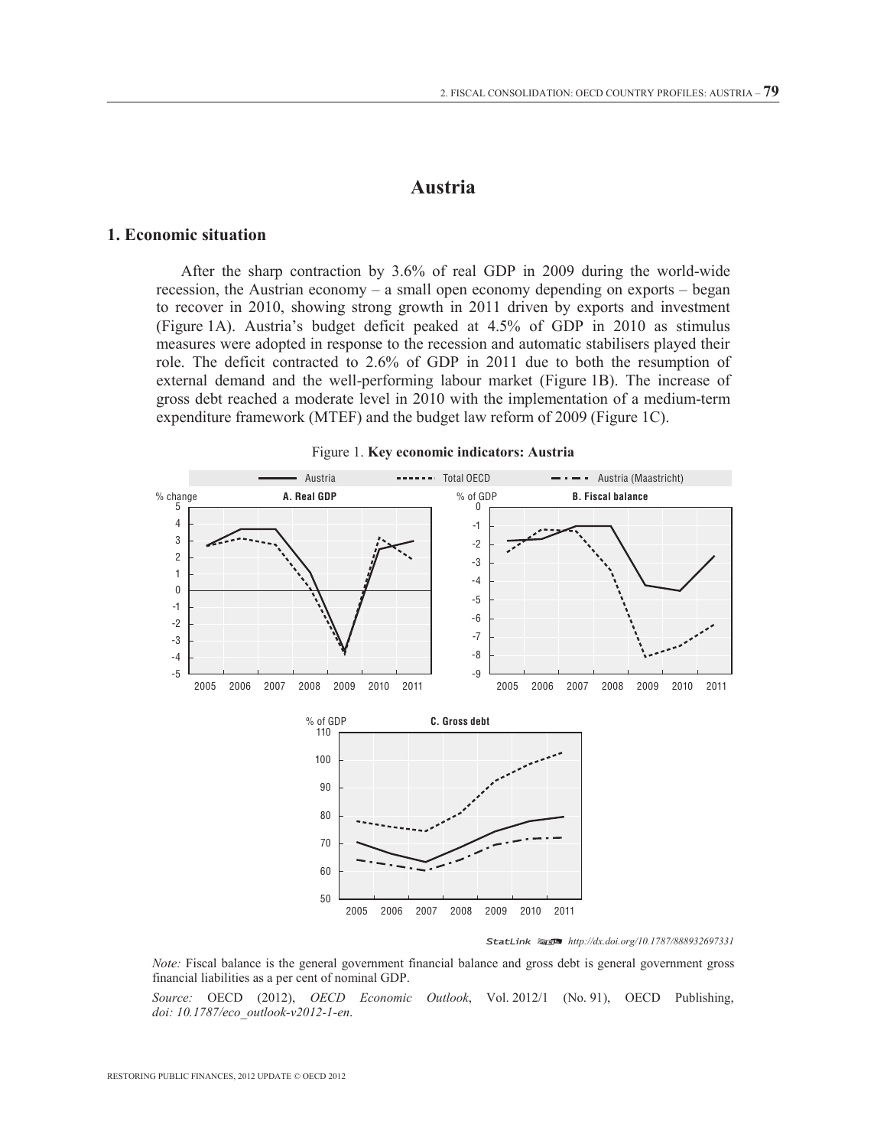## **Austria**

#### **1. Economic situation**

After the sharp contraction by 3.6% of real GDP in 2009 during the world-wide recession, the Austrian economy – a small open economy depending on exports – began to recover in 2010, showing strong growth in 2011 driven by exports and investment (Figure 1A). Austria's budget deficit peaked at 4.5% of GDP in 2010 as stimulus measures were adopted in response to the recession and automatic stabilisers played their role. The deficit contracted to 2.6% of GDP in 2011 due to both the resumption of external demand and the well-performing labour market (Figure 1B). The increase of gross debt reached a moderate level in 2010 with the implementation of a medium-term expenditure framework (MTEF) and the budget law reform of 2009 (Figure 1C).



Figure 1. **Key economic indicators: Austria** 

StatLink 2 *http://dx.doi.org/10.1787/888932697331*

*Note:* Fiscal balance is the general government financial balance and gross debt is general government gross financial liabilities as a per cent of nominal GDP.

*Source:* OECD (2012), *OECD Economic Outlook*, Vol. 2012/1 (No. 91), OECD Publishing, *doi: 10.1787/eco\_outlook-v2012-1-en*.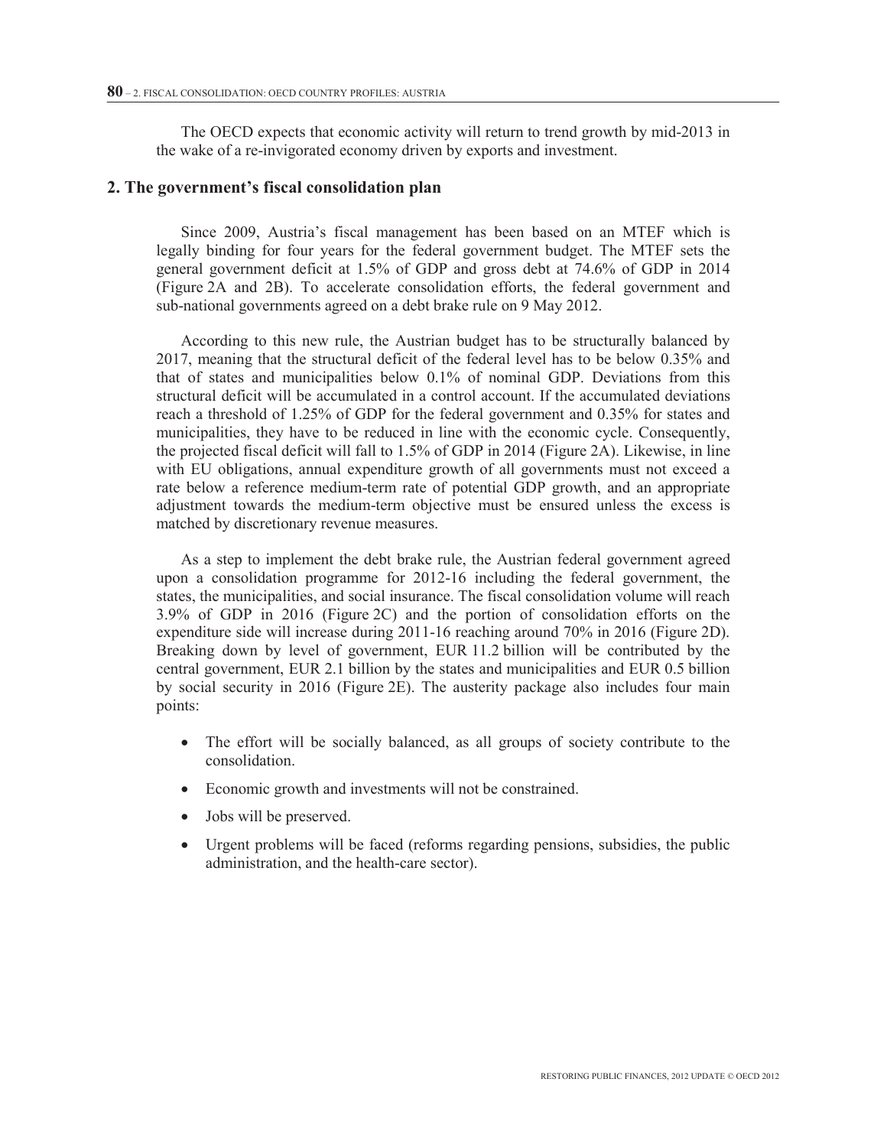The OECD expects that economic activity will return to trend growth by mid-2013 in the wake of a re-invigorated economy driven by exports and investment.

#### **2. The government's fiscal consolidation plan**

Since 2009, Austria's fiscal management has been based on an MTEF which is legally binding for four years for the federal government budget. The MTEF sets the general government deficit at 1.5% of GDP and gross debt at 74.6% of GDP in 2014 (Figure 2A and 2B). To accelerate consolidation efforts, the federal government and sub-national governments agreed on a debt brake rule on 9 May 2012.

According to this new rule, the Austrian budget has to be structurally balanced by 2017, meaning that the structural deficit of the federal level has to be below 0.35% and that of states and municipalities below 0.1% of nominal GDP. Deviations from this structural deficit will be accumulated in a control account. If the accumulated deviations reach a threshold of 1.25% of GDP for the federal government and 0.35% for states and municipalities, they have to be reduced in line with the economic cycle. Consequently, the projected fiscal deficit will fall to 1.5% of GDP in 2014 (Figure 2A). Likewise, in line with EU obligations, annual expenditure growth of all governments must not exceed a rate below a reference medium-term rate of potential GDP growth, and an appropriate adjustment towards the medium-term objective must be ensured unless the excess is matched by discretionary revenue measures.

As a step to implement the debt brake rule, the Austrian federal government agreed upon a consolidation programme for 2012-16 including the federal government, the states, the municipalities, and social insurance. The fiscal consolidation volume will reach 3.9% of GDP in 2016 (Figure 2C) and the portion of consolidation efforts on the expenditure side will increase during 2011-16 reaching around 70% in 2016 (Figure 2D). Breaking down by level of government, EUR 11.2 billion will be contributed by the central government, EUR 2.1 billion by the states and municipalities and EUR 0.5 billion by social security in 2016 (Figure 2E). The austerity package also includes four main points:

- The effort will be socially balanced, as all groups of society contribute to the consolidation.
- Economic growth and investments will not be constrained.
- Jobs will be preserved.
- Urgent problems will be faced (reforms regarding pensions, subsidies, the public administration, and the health-care sector).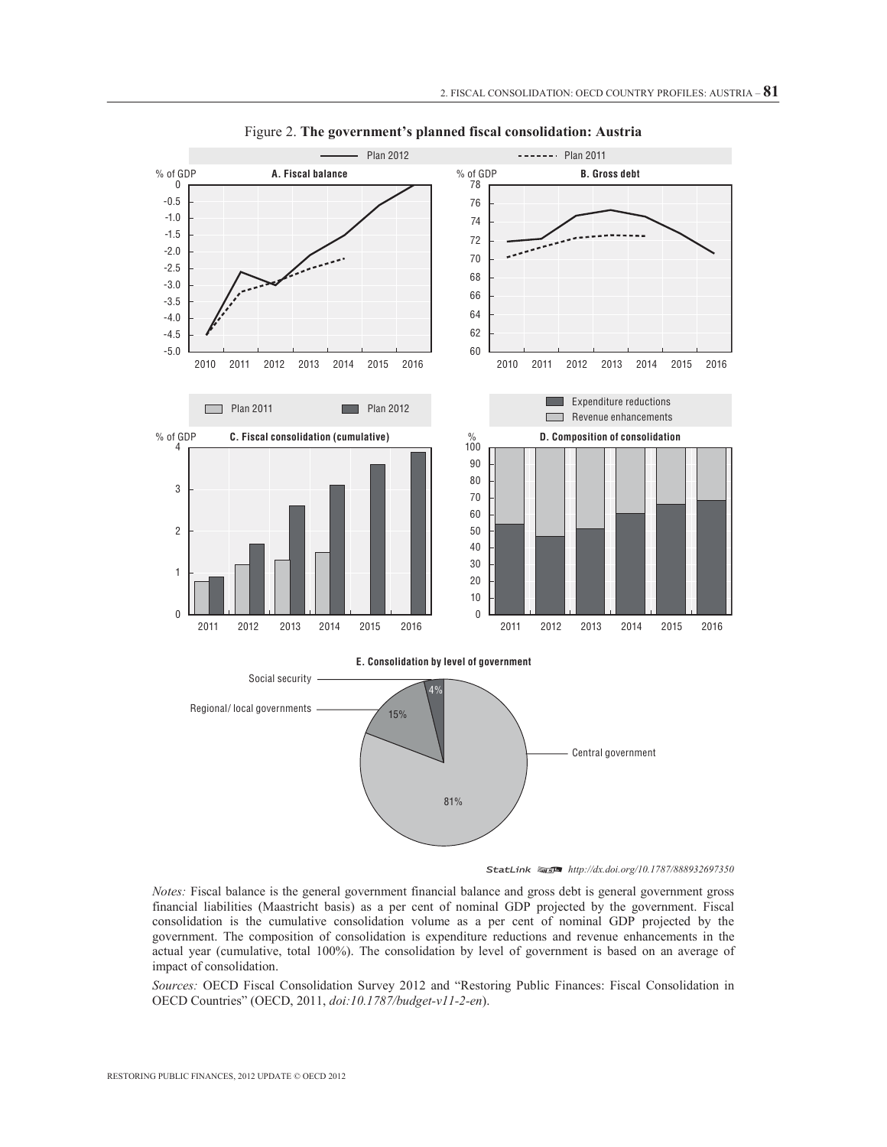

Figure 2. **The government's planned fiscal consolidation: Austria** 



*Notes:* Fiscal balance is the general government financial balance and gross debt is general government gross financial liabilities (Maastricht basis) as a per cent of nominal GDP projected by the government. Fiscal consolidation is the cumulative consolidation volume as a per cent of nominal GDP projected by the government. The composition of consolidation is expenditure reductions and revenue enhancements in the actual year (cumulative, total 100%). The consolidation by level of government is based on an average of impact of consolidation.

*Sources:* OECD Fiscal Consolidation Survey 2012 and "Restoring Public Finances: Fiscal Consolidation in OECD Countries" (OECD, 2011, *doi:10.1787/budget-v11-2-en*).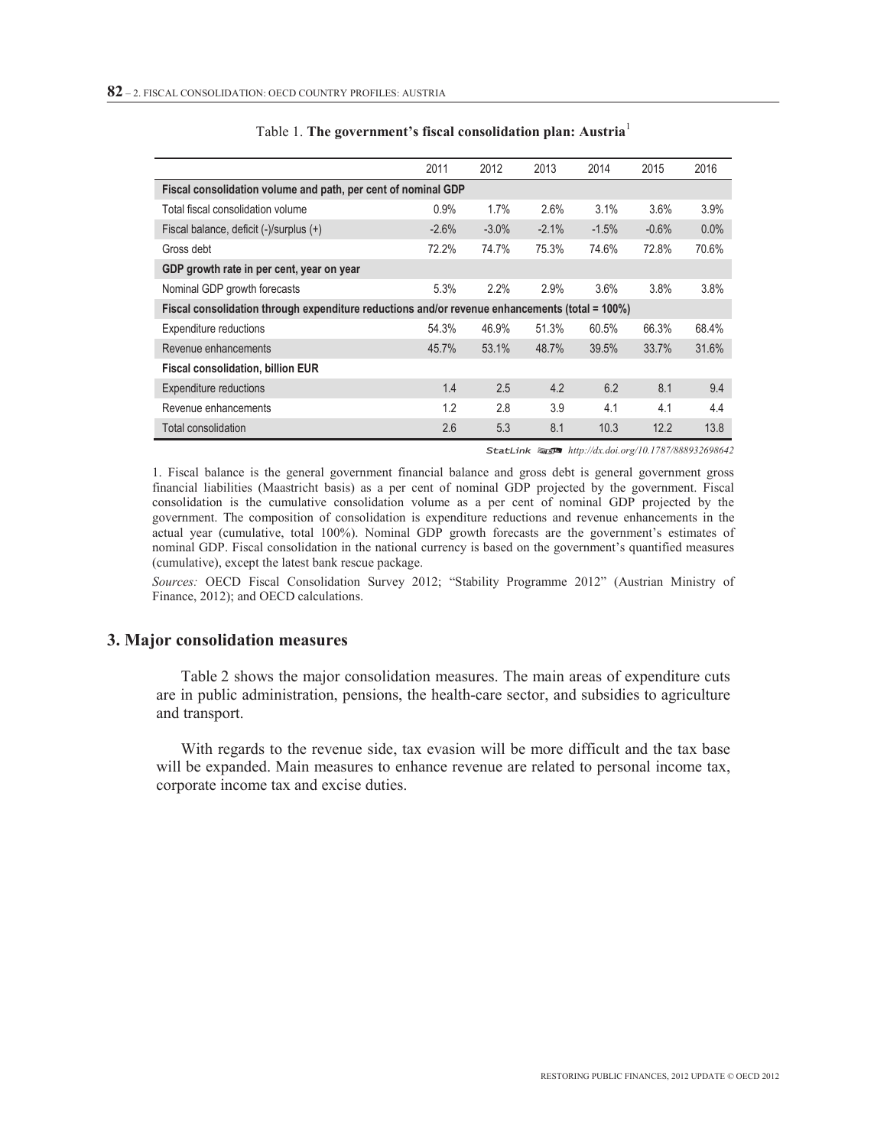|                                                                                                | 2011    | 2012     | 2013    | 2014    | 2015    | 2016  |  |  |  |  |  |
|------------------------------------------------------------------------------------------------|---------|----------|---------|---------|---------|-------|--|--|--|--|--|
| Fiscal consolidation volume and path, per cent of nominal GDP                                  |         |          |         |         |         |       |  |  |  |  |  |
| Total fiscal consolidation volume                                                              | 0.9%    | 1.7%     | 2.6%    | 3.1%    | 3.6%    | 3.9%  |  |  |  |  |  |
| Fiscal balance, deficit (-)/surplus (+)                                                        | $-2.6%$ | $-3.0\%$ | $-2.1%$ | $-1.5%$ | $-0.6%$ | 0.0%  |  |  |  |  |  |
| Gross debt                                                                                     | 72.2%   | 74.7%    | 75.3%   | 74.6%   | 72.8%   | 70.6% |  |  |  |  |  |
| GDP growth rate in per cent, year on year                                                      |         |          |         |         |         |       |  |  |  |  |  |
| Nominal GDP growth forecasts                                                                   | 5.3%    | 2.2%     | 2.9%    | 3.6%    | 3.8%    | 3.8%  |  |  |  |  |  |
| Fiscal consolidation through expenditure reductions and/or revenue enhancements (total = 100%) |         |          |         |         |         |       |  |  |  |  |  |
| Expenditure reductions                                                                         | 54.3%   | 46.9%    | 51.3%   | 60.5%   | 66.3%   | 68.4% |  |  |  |  |  |
| Revenue enhancements                                                                           | 45.7%   | 53.1%    | 48.7%   | 39.5%   | 33.7%   | 31.6% |  |  |  |  |  |
| <b>Fiscal consolidation, billion EUR</b>                                                       |         |          |         |         |         |       |  |  |  |  |  |
| <b>Expenditure reductions</b>                                                                  | 1.4     | 2.5      | 4.2     | 6.2     | 8.1     | 9.4   |  |  |  |  |  |
| Revenue enhancements                                                                           | 1.2     | 2.8      | 3.9     | 4.1     | 4.1     | 4.4   |  |  |  |  |  |
| Total consolidation                                                                            | 2.6     | 5.3      | 8.1     | 10.3    | 12.2    | 13.8  |  |  |  |  |  |

| Table 1. The government's fiscal consolidation plan: Austria |
|--------------------------------------------------------------|
|--------------------------------------------------------------|

StatLink as http://dx.doi.org/10.1787/888932698642

1. Fiscal balance is the general government financial balance and gross debt is general government gross financial liabilities (Maastricht basis) as a per cent of nominal GDP projected by the government. Fiscal consolidation is the cumulative consolidation volume as a per cent of nominal GDP projected by the government. The composition of consolidation is expenditure reductions and revenue enhancements in the actual year (cumulative, total 100%). Nominal GDP growth forecasts are the government's estimates of nominal GDP. Fiscal consolidation in the national currency is based on the government's quantified measures (cumulative), except the latest bank rescue package.

*Sources:* OECD Fiscal Consolidation Survey 2012; "Stability Programme 2012" (Austrian Ministry of Finance, 2012); and OECD calculations.

#### **3. Major consolidation measures**

Table 2 shows the major consolidation measures. The main areas of expenditure cuts are in public administration, pensions, the health-care sector, and subsidies to agriculture and transport.

With regards to the revenue side, tax evasion will be more difficult and the tax base will be expanded. Main measures to enhance revenue are related to personal income tax, corporate income tax and excise duties.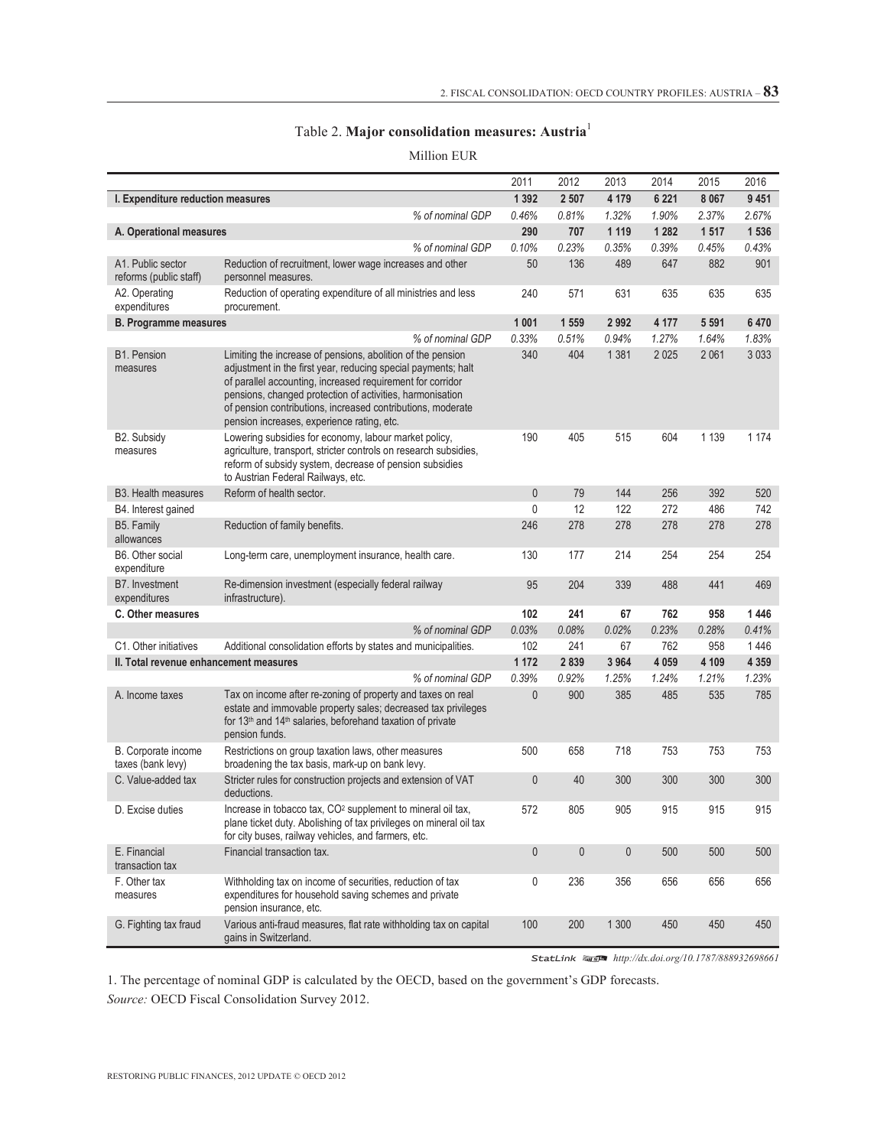# Table 2. **Major consolidation measures: Austria**<sup>1</sup>

Million EUR

|                                             |                                                                                                                                                                                                                                                                                                                                                                      | 2011         | 2012         | 2013        | 2014    | 2015    | 2016    |
|---------------------------------------------|----------------------------------------------------------------------------------------------------------------------------------------------------------------------------------------------------------------------------------------------------------------------------------------------------------------------------------------------------------------------|--------------|--------------|-------------|---------|---------|---------|
| I. Expenditure reduction measures           |                                                                                                                                                                                                                                                                                                                                                                      | 1 3 9 2      | 2 507        | 4 1 7 9     | 6 2 2 1 | 8 0 6 7 | 9 4 5 1 |
|                                             | % of nominal GDP                                                                                                                                                                                                                                                                                                                                                     | 0.46%        | 0.81%        | 1.32%       | 1.90%   | 2.37%   | 2.67%   |
| A. Operational measures                     |                                                                                                                                                                                                                                                                                                                                                                      | 290          | 707          | 1 1 1 9     | 1 2 8 2 | 1517    | 1 5 3 6 |
|                                             | % of nominal GDP                                                                                                                                                                                                                                                                                                                                                     | 0.10%        | 0.23%        | 0.35%       | 0.39%   | 0.45%   | 0.43%   |
| A1. Public sector<br>reforms (public staff) | Reduction of recruitment, lower wage increases and other<br>personnel measures.                                                                                                                                                                                                                                                                                      | 50           | 136          | 489         | 647     | 882     | 901     |
| A2. Operating<br>expenditures               | Reduction of operating expenditure of all ministries and less<br>procurement.                                                                                                                                                                                                                                                                                        | 240          | 571          | 631         | 635     | 635     | 635     |
| <b>B. Programme measures</b>                |                                                                                                                                                                                                                                                                                                                                                                      | 1 0 0 1      | 1 559        | 2992        | 4 177   | 5 5 9 1 | 6470    |
|                                             | % of nominal GDP                                                                                                                                                                                                                                                                                                                                                     | 0.33%        | 0.51%        | 0.94%       | 1.27%   | 1.64%   | 1.83%   |
| <b>B1. Pension</b><br>measures              | Limiting the increase of pensions, abolition of the pension<br>adjustment in the first year, reducing special payments; halt<br>of parallel accounting, increased requirement for corridor<br>pensions, changed protection of activities, harmonisation<br>of pension contributions, increased contributions, moderate<br>pension increases, experience rating, etc. | 340          | 404          | 1 3 8 1     | 2 0 2 5 | 2 0 6 1 | 3 0 3 3 |
| B2. Subsidy<br>measures                     | Lowering subsidies for economy, labour market policy,<br>agriculture, transport, stricter controls on research subsidies,<br>reform of subsidy system, decrease of pension subsidies<br>to Austrian Federal Railways, etc.                                                                                                                                           | 190          | 405          | 515         | 604     | 1 1 3 9 | 1 1 7 4 |
| <b>B3. Health measures</b>                  | Reform of health sector.                                                                                                                                                                                                                                                                                                                                             | $\bf 0$      | 79           | 144         | 256     | 392     | 520     |
| B4. Interest gained                         |                                                                                                                                                                                                                                                                                                                                                                      | 0            | 12           | 122         | 272     | 486     | 742     |
| B5. Family<br>allowances                    | Reduction of family benefits.                                                                                                                                                                                                                                                                                                                                        | 246          | 278          | 278         | 278     | 278     | 278     |
| B6. Other social<br>expenditure             | Long-term care, unemployment insurance, health care.                                                                                                                                                                                                                                                                                                                 | 130          | 177          | 214         | 254     | 254     | 254     |
| B7. Investment<br>expenditures              | Re-dimension investment (especially federal railway<br>infrastructure).                                                                                                                                                                                                                                                                                              | 95           | 204          | 339         | 488     | 441     | 469     |
| C. Other measures                           |                                                                                                                                                                                                                                                                                                                                                                      | 102          | 241          | 67          | 762     | 958     | 1446    |
|                                             | % of nominal GDP                                                                                                                                                                                                                                                                                                                                                     | 0.03%        | 0.08%        | 0.02%       | 0.23%   | 0.28%   | 0.41%   |
| C1. Other initiatives                       | Additional consolidation efforts by states and municipalities.                                                                                                                                                                                                                                                                                                       | 102          | 241          | 67          | 762     | 958     | 1446    |
| II. Total revenue enhancement measures      |                                                                                                                                                                                                                                                                                                                                                                      | 1 1 7 2      | 2839         | 3964        | 4 0 5 9 | 4 109   | 4 3 5 9 |
|                                             | % of nominal GDP                                                                                                                                                                                                                                                                                                                                                     | 0.39%        | 0.92%        | 1.25%       | 1.24%   | 1.21%   | 1.23%   |
| A. Income taxes                             | Tax on income after re-zoning of property and taxes on real<br>estate and immovable property sales; decreased tax privileges<br>for 13th and 14th salaries, beforehand taxation of private<br>pension funds.                                                                                                                                                         | $\mathbf{0}$ | 900          | 385         | 485     | 535     | 785     |
| B. Corporate income<br>taxes (bank levy)    | Restrictions on group taxation laws, other measures<br>broadening the tax basis, mark-up on bank levy.                                                                                                                                                                                                                                                               | 500          | 658          | 718         | 753     | 753     | 753     |
| C. Value-added tax                          | Stricter rules for construction projects and extension of VAT<br>deductions.                                                                                                                                                                                                                                                                                         | $\mathbf{0}$ | 40           | 300         | 300     | 300     | 300     |
| D. Excise duties                            | Increase in tobacco tax, CO <sup>2</sup> supplement to mineral oil tax,<br>plane ticket duty. Abolishing of tax privileges on mineral oil tax<br>for city buses, railway vehicles, and farmers, etc.                                                                                                                                                                 | 572          | 805          | 905         | 915     | 915     | 915     |
| E. Financial<br>transaction tax             | Financial transaction tax.                                                                                                                                                                                                                                                                                                                                           | $\mathbf 0$  | $\mathbf{0}$ | $\mathbf 0$ | 500     | 500     | 500     |
| F. Other tax<br>measures                    | Withholding tax on income of securities, reduction of tax<br>expenditures for household saving schemes and private<br>pension insurance, etc.                                                                                                                                                                                                                        | 0            | 236          | 356         | 656     | 656     | 656     |
| G. Fighting tax fraud                       | Various anti-fraud measures, flat rate withholding tax on capital<br>gains in Switzerland.                                                                                                                                                                                                                                                                           | 100          | 200          | 1 3 0 0     | 450     | 450     | 450     |

StatLink 2 *http://dx.doi.org/10.1787/888932698661*

1. The percentage of nominal GDP is calculated by the OECD, based on the government's GDP forecasts.

*Source:* OECD Fiscal Consolidation Survey 2012.